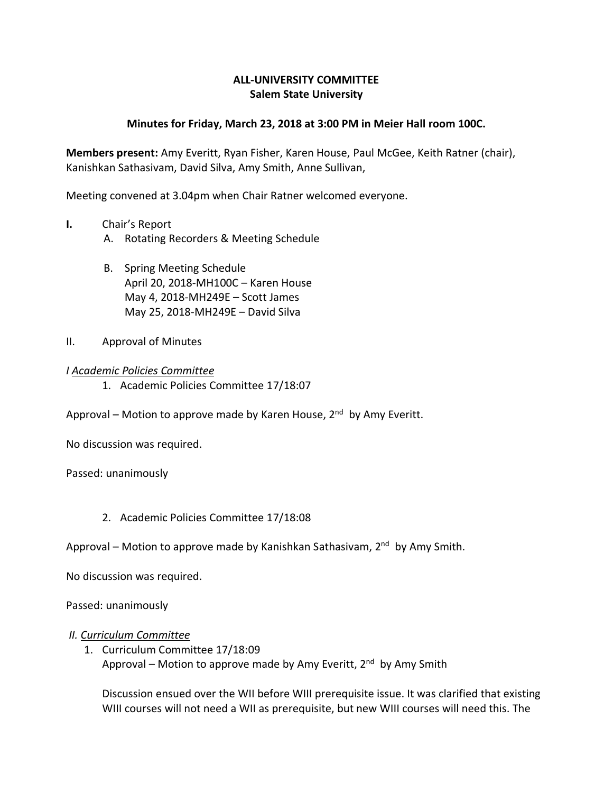# **ALL-UNIVERSITY COMMITTEE Salem State University**

## **Minutes for Friday, March 23, 2018 at 3:00 PM in Meier Hall room 100C.**

**Members present:** Amy Everitt, Ryan Fisher, Karen House, Paul McGee, Keith Ratner (chair), Kanishkan Sathasivam, David Silva, Amy Smith, Anne Sullivan,

Meeting convened at 3.04pm when Chair Ratner welcomed everyone.

- **I.** Chair's Report
	- A. Rotating Recorders & Meeting Schedule
	- B. Spring Meeting Schedule April 20, 2018-MH100C – Karen House May 4, 2018-MH249E – Scott James May 25, 2018-MH249E – David Silva
- II. Approval of Minutes

### *I Academic Policies Committee*

- 1. Academic Policies Committee 17/18:07
- Approval Motion to approve made by Karen House,  $2<sup>nd</sup>$  by Amy Everitt.

No discussion was required.

Passed: unanimously

- 2. Academic Policies Committee 17/18:08
- Approval Motion to approve made by Kanishkan Sathasivam,  $2<sup>nd</sup>$  by Amy Smith.

No discussion was required.

Passed: unanimously

#### *II. Curriculum Committee*

1. Curriculum Committee 17/18:09 Approval – Motion to approve made by Amy Everitt, 2<sup>nd</sup> by Amy Smith

Discussion ensued over the WII before WIII prerequisite issue. It was clarified that existing WIII courses will not need a WII as prerequisite, but new WIII courses will need this. The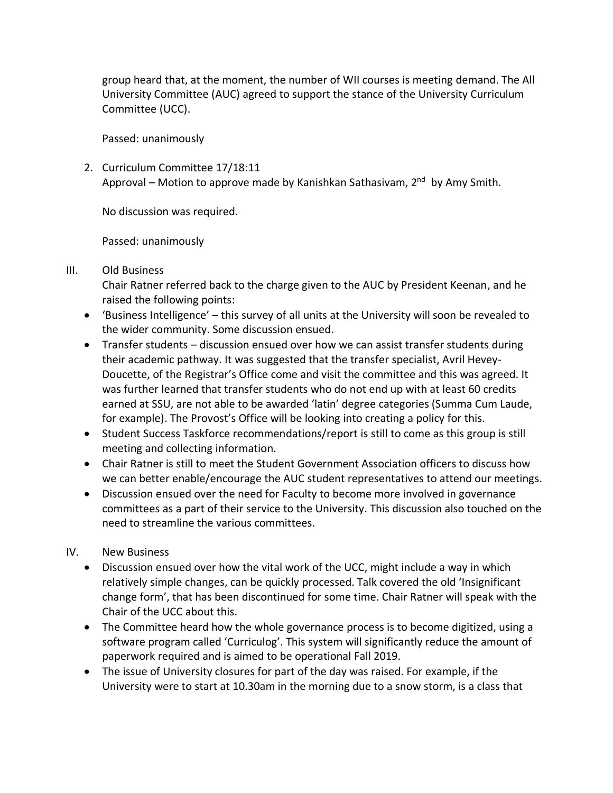group heard that, at the moment, the number of WII courses is meeting demand. The All University Committee (AUC) agreed to support the stance of the University Curriculum Committee (UCC).

Passed: unanimously

2. Curriculum Committee 17/18:11 Approval – Motion to approve made by Kanishkan Sathasivam, 2<sup>nd</sup> by Amy Smith.

No discussion was required.

Passed: unanimously

## III. Old Business

Chair Ratner referred back to the charge given to the AUC by President Keenan, and he raised the following points:

- 'Business Intelligence' this survey of all units at the University will soon be revealed to the wider community. Some discussion ensued.
- Transfer students discussion ensued over how we can assist transfer students during their academic pathway. It was suggested that the transfer specialist, Avril Hevey-Doucette, of the Registrar's Office come and visit the committee and this was agreed. It was further learned that transfer students who do not end up with at least 60 credits earned at SSU, are not able to be awarded 'latin' degree categories (Summa Cum Laude, for example). The Provost's Office will be looking into creating a policy for this.
- Student Success Taskforce recommendations/report is still to come as this group is still meeting and collecting information.
- Chair Ratner is still to meet the Student Government Association officers to discuss how we can better enable/encourage the AUC student representatives to attend our meetings.
- Discussion ensued over the need for Faculty to become more involved in governance committees as a part of their service to the University. This discussion also touched on the need to streamline the various committees.

# IV. New Business

- Discussion ensued over how the vital work of the UCC, might include a way in which relatively simple changes, can be quickly processed. Talk covered the old 'Insignificant change form', that has been discontinued for some time. Chair Ratner will speak with the Chair of the UCC about this.
- The Committee heard how the whole governance process is to become digitized, using a software program called 'Curriculog'. This system will significantly reduce the amount of paperwork required and is aimed to be operational Fall 2019.
- The issue of University closures for part of the day was raised. For example, if the University were to start at 10.30am in the morning due to a snow storm, is a class that